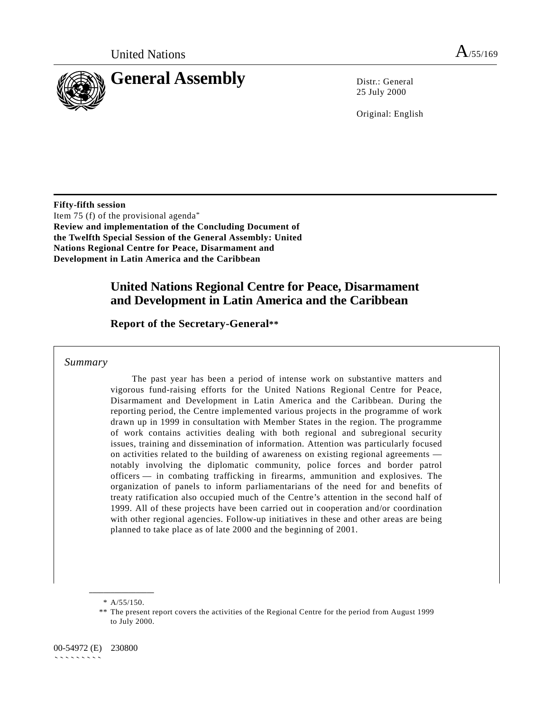

25 July 2000

Original: English

**Fifty-fifth session** Item 75 (f) of the provisional agenda\* **Review and implementation of the Concluding Document of the Twelfth Special Session of the General Assembly: United Nations Regional Centre for Peace, Disarmament and Development in Latin America and the Caribbean**

### **United Nations Regional Centre for Peace, Disarmament and Development in Latin America and the Caribbean**

**Report of the Secretary-General\*\***

*Summary*

The past year has been a period of intense work on substantive matters and vigorous fund-raising efforts for the United Nations Regional Centre for Peace, Disarmament and Development in Latin America and the Caribbean. During the reporting period, the Centre implemented various projects in the programme of work drawn up in 1999 in consultation with Member States in the region. The programme of work contains activities dealing with both regional and subregional security issues, training and dissemination of information. Attention was particularly focused on activities related to the building of awareness on existing regional agreements notably involving the diplomatic community, police forces and border patrol officers — in combating trafficking in firearms, ammunition and explosives. The organization of panels to inform parliamentarians of the need for and benefits of treaty ratification also occupied much of the Centre's attention in the second half of 1999. All of these projects have been carried out in cooperation and/or coordination with other regional agencies. Follow-up initiatives in these and other areas are being planned to take place as of late 2000 and the beginning of 2001.

**\_\_\_\_\_\_\_\_\_\_\_\_\_\_\_\_\_\_** \* A/55/150.

<sup>\*\*</sup> The present report covers the activities of the Regional Centre for the period from August 1999 to July 2000.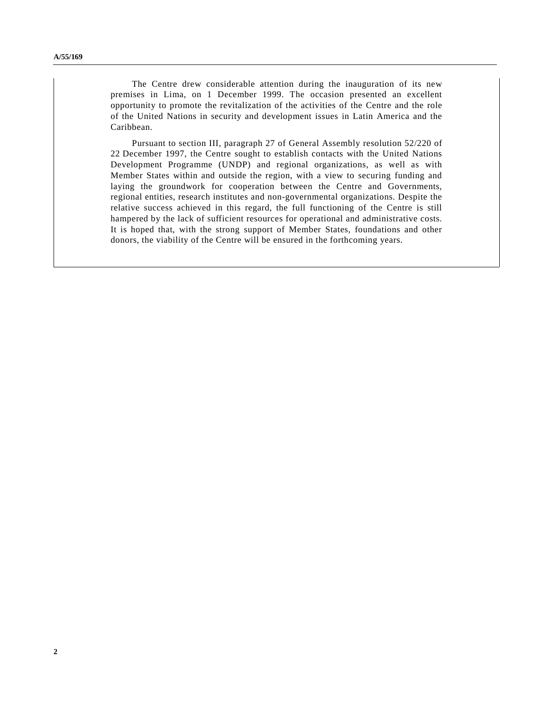The Centre drew considerable attention during the inauguration of its new premises in Lima, on 1 December 1999. The occasion presented an excellent opportunity to promote the revitalization of the activities of the Centre and the role of the United Nations in security and development issues in Latin America and the Caribbean.

Pursuant to section III, paragraph 27 of General Assembly resolution 52/220 of 22 December 1997, the Centre sought to establish contacts with the United Nations Development Programme (UNDP) and regional organizations, as well as with Member States within and outside the region, with a view to securing funding and laying the groundwork for cooperation between the Centre and Governments, regional entities, research institutes and non-governmental organizations. Despite the relative success achieved in this regard, the full functioning of the Centre is still hampered by the lack of sufficient resources for operational and administrative costs. It is hoped that, with the strong support of Member States, foundations and other donors, the viability of the Centre will be ensured in the forthcoming years.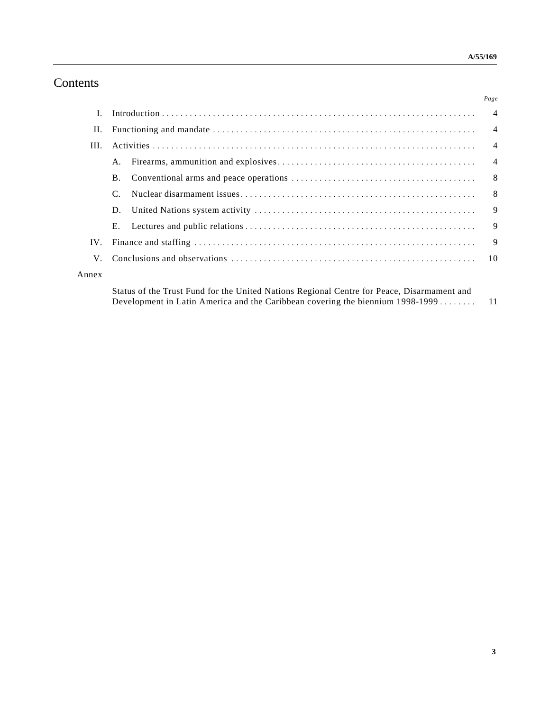## **Contents**

|       |                                                                                                                                                  | Page           |
|-------|--------------------------------------------------------------------------------------------------------------------------------------------------|----------------|
|       |                                                                                                                                                  |                |
| Н.    |                                                                                                                                                  | $\overline{4}$ |
| III.  |                                                                                                                                                  | $\overline{4}$ |
|       | A.                                                                                                                                               |                |
|       | <b>B.</b>                                                                                                                                        |                |
|       |                                                                                                                                                  |                |
|       | D.                                                                                                                                               |                |
|       | E.                                                                                                                                               | $\overline{9}$ |
| IV.   |                                                                                                                                                  | $\overline{9}$ |
| V     |                                                                                                                                                  |                |
| Annex |                                                                                                                                                  |                |
|       | $\alpha$ , $\alpha$ and $\alpha$ in the $\alpha$ is the $\alpha$ in the $\alpha$ is the $\alpha$ is the $\alpha$ is the $\alpha$ is the $\alpha$ |                |

Status of the Trust Fund for the United Nations Regional Centre for Peace, Disarmament and Development in Latin America and the Caribbean covering the biennium 1998-1999 ........ 11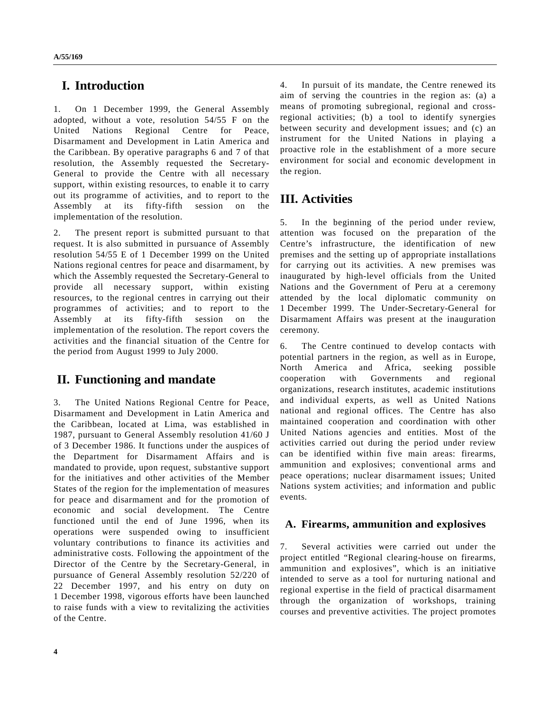### **I. Introduction**

1. On 1 December 1999, the General Assembly adopted, without a vote, resolution 54/55 F on the United Nations Regional Centre for Peace, Disarmament and Development in Latin America and the Caribbean. By operative paragraphs 6 and 7 of that resolution, the Assembly requested the Secretary-General to provide the Centre with all necessary support, within existing resources, to enable it to carry out its programme of activities, and to report to the Assembly at its fifty-fifth session on the implementation of the resolution.

2. The present report is submitted pursuant to that request. It is also submitted in pursuance of Assembly resolution 54/55 E of 1 December 1999 on the United Nations regional centres for peace and disarmament, by which the Assembly requested the Secretary-General to provide all necessary support, within existing resources, to the regional centres in carrying out their programmes of activities; and to report to the Assembly at its fifty-fifth session on the implementation of the resolution. The report covers the activities and the financial situation of the Centre for the period from August 1999 to July 2000.

## **II. Functioning and mandate**

3. The United Nations Regional Centre for Peace, Disarmament and Development in Latin America and the Caribbean, located at Lima, was established in 1987, pursuant to General Assembly resolution 41/60 J of 3 December 1986. It functions under the auspices of the Department for Disarmament Affairs and is mandated to provide, upon request, substantive support for the initiatives and other activities of the Member States of the region for the implementation of measures for peace and disarmament and for the promotion of economic and social development. The Centre functioned until the end of June 1996, when its operations were suspended owing to insufficient voluntary contributions to finance its activities and administrative costs. Following the appointment of the Director of the Centre by the Secretary-General, in pursuance of General Assembly resolution 52/220 of 22 December 1997, and his entry on duty on 1 December 1998, vigorous efforts have been launched to raise funds with a view to revitalizing the activities of the Centre.

4. In pursuit of its mandate, the Centre renewed its aim of serving the countries in the region as: (a) a means of promoting subregional, regional and crossregional activities; (b) a tool to identify synergies between security and development issues; and (c) an instrument for the United Nations in playing a proactive role in the establishment of a more secure environment for social and economic development in the region.

# **III. Activities**

5. In the beginning of the period under review, attention was focused on the preparation of the Centre's infrastructure, the identification of new premises and the setting up of appropriate installations for carrying out its activities. A new premises was inaugurated by high-level officials from the United Nations and the Government of Peru at a ceremony attended by the local diplomatic community on 1 December 1999. The Under-Secretary-General for Disarmament Affairs was present at the inauguration ceremony.

6. The Centre continued to develop contacts with potential partners in the region, as well as in Europe, North America and Africa, seeking possible cooperation with Governments and regional organizations, research institutes, academic institutions and individual experts, as well as United Nations national and regional offices. The Centre has also maintained cooperation and coordination with other United Nations agencies and entities. Most of the activities carried out during the period under review can be identified within five main areas: firearms, ammunition and explosives; conventional arms and peace operations; nuclear disarmament issues; United Nations system activities; and information and public events.

#### **A. Firearms, ammunition and explosives**

7. Several activities were carried out under the project entitled "Regional clearing-house on firearms, ammunition and explosives", which is an initiative intended to serve as a tool for nurturing national and regional expertise in the field of practical disarmament through the organization of workshops, training courses and preventive activities. The project promotes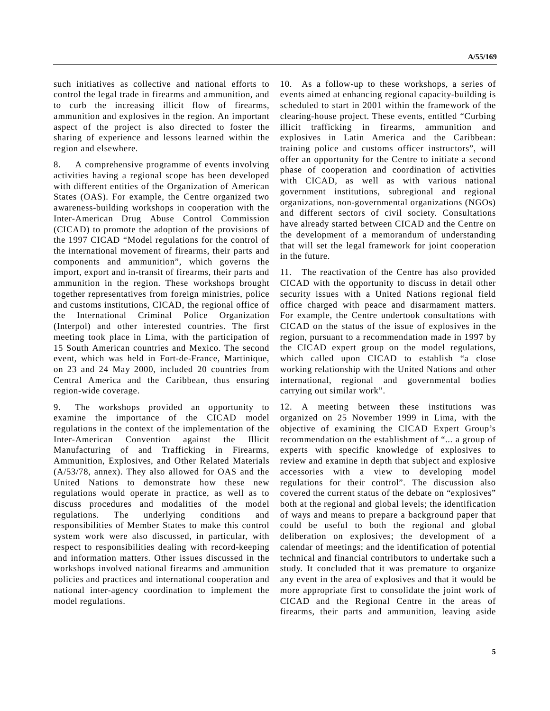such initiatives as collective and national efforts to control the legal trade in firearms and ammunition, and to curb the increasing illicit flow of firearms, ammunition and explosives in the region. An important aspect of the project is also directed to foster the sharing of experience and lessons learned within the region and elsewhere.

8. A comprehensive programme of events involving activities having a regional scope has been developed with different entities of the Organization of American States (OAS). For example, the Centre organized two awareness-building workshops in cooperation with the Inter-American Drug Abuse Control Commission (CICAD) to promote the adoption of the provisions of the 1997 CICAD "Model regulations for the control of the international movement of firearms, their parts and components and ammunition", which governs the import, export and in-transit of firearms, their parts and ammunition in the region. These workshops brought together representatives from foreign ministries, police and customs institutions, CICAD, the regional office of the International Criminal Police Organization (Interpol) and other interested countries. The first meeting took place in Lima, with the participation of 15 South American countries and Mexico. The second event, which was held in Fort-de-France, Martinique, on 23 and 24 May 2000, included 20 countries from Central America and the Caribbean, thus ensuring region-wide coverage.

9. The workshops provided an opportunity to examine the importance of the CICAD model regulations in the context of the implementation of the Inter-American Convention against the Illicit Manufacturing of and Trafficking in Firearms, Ammunition, Explosives, and Other Related Materials (A/53/78, annex). They also allowed for OAS and the United Nations to demonstrate how these new regulations would operate in practice, as well as to discuss procedures and modalities of the model regulations. The underlying conditions and responsibilities of Member States to make this control system work were also discussed, in particular, with respect to responsibilities dealing with record-keeping and information matters. Other issues discussed in the workshops involved national firearms and ammunition policies and practices and international cooperation and national inter-agency coordination to implement the model regulations.

10. As a follow-up to these workshops, a series of events aimed at enhancing regional capacity-building is scheduled to start in 2001 within the framework of the clearing-house project. These events, entitled "Curbing illicit trafficking in firearms, ammunition and explosives in Latin America and the Caribbean: training police and customs officer instructors", will offer an opportunity for the Centre to initiate a second phase of cooperation and coordination of activities with CICAD, as well as with various national government institutions, subregional and regional organizations, non-governmental organizations (NGOs) and different sectors of civil society. Consultations have already started between CICAD and the Centre on the development of a memorandum of understanding that will set the legal framework for joint cooperation in the future.

11. The reactivation of the Centre has also provided CICAD with the opportunity to discuss in detail other security issues with a United Nations regional field office charged with peace and disarmament matters. For example, the Centre undertook consultations with CICAD on the status of the issue of explosives in the region, pursuant to a recommendation made in 1997 by the CICAD expert group on the model regulations, which called upon CICAD to establish "a close working relationship with the United Nations and other international, regional and governmental bodies carrying out similar work".

12. A meeting between these institutions was organized on 25 November 1999 in Lima, with the objective of examining the CICAD Expert Group's recommendation on the establishment of "... a group of experts with specific knowledge of explosives to review and examine in depth that subject and explosive accessories with a view to developing model regulations for their control". The discussion also covered the current status of the debate on "explosives" both at the regional and global levels; the identification of ways and means to prepare a background paper that could be useful to both the regional and global deliberation on explosives; the development of a calendar of meetings; and the identification of potential technical and financial contributors to undertake such a study. It concluded that it was premature to organize any event in the area of explosives and that it would be more appropriate first to consolidate the joint work of CICAD and the Regional Centre in the areas of firearms, their parts and ammunition, leaving aside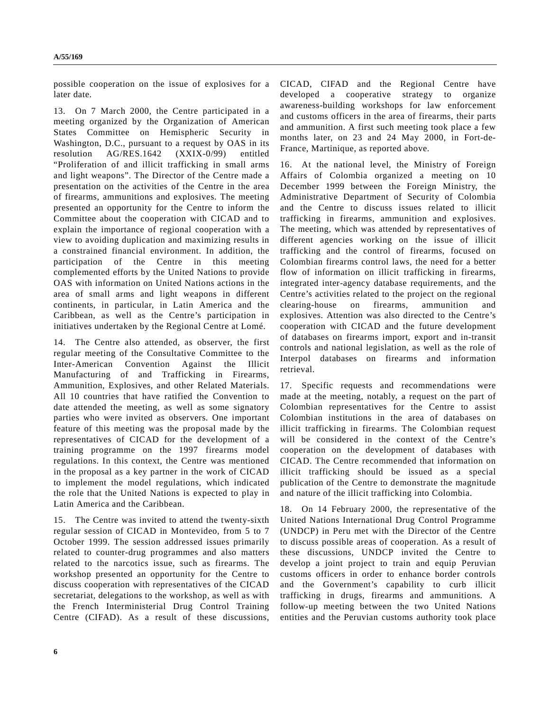possible cooperation on the issue of explosives for a later date.

13. On 7 March 2000, the Centre participated in a meeting organized by the Organization of American States Committee on Hemispheric Security in Washington, D.C., pursuant to a request by OAS in its resolution AG/RES.1642 (XXIX-0/99) entitled "Proliferation of and illicit trafficking in small arms and light weapons". The Director of the Centre made a presentation on the activities of the Centre in the area of firearms, ammunitions and explosives. The meeting presented an opportunity for the Centre to inform the Committee about the cooperation with CICAD and to explain the importance of regional cooperation with a view to avoiding duplication and maximizing results in a constrained financial environment. In addition, the participation of the Centre in this meeting complemented efforts by the United Nations to provide OAS with information on United Nations actions in the area of small arms and light weapons in different continents, in particular, in Latin America and the Caribbean, as well as the Centre's participation in initiatives undertaken by the Regional Centre at Lomé.

14. The Centre also attended, as observer, the first regular meeting of the Consultative Committee to the Inter-American Convention Against the Illicit Manufacturing of and Trafficking in Firearms, Ammunition, Explosives, and other Related Materials. All 10 countries that have ratified the Convention to date attended the meeting, as well as some signatory parties who were invited as observers. One important feature of this meeting was the proposal made by the representatives of CICAD for the development of a training programme on the 1997 firearms model regulations. In this context, the Centre was mentioned in the proposal as a key partner in the work of CICAD to implement the model regulations, which indicated the role that the United Nations is expected to play in Latin America and the Caribbean.

15. The Centre was invited to attend the twenty-sixth regular session of CICAD in Montevideo, from 5 to 7 October 1999. The session addressed issues primarily related to counter-drug programmes and also matters related to the narcotics issue, such as firearms. The workshop presented an opportunity for the Centre to discuss cooperation with representatives of the CICAD secretariat, delegations to the workshop, as well as with the French Interministerial Drug Control Training Centre (CIFAD). As a result of these discussions, CICAD, CIFAD and the Regional Centre have developed a cooperative strategy to organize awareness-building workshops for law enforcement and customs officers in the area of firearms, their parts and ammunition. A first such meeting took place a few months later, on 23 and 24 May 2000, in Fort-de-France, Martinique, as reported above.

16. At the national level, the Ministry of Foreign Affairs of Colombia organized a meeting on 10 December 1999 between the Foreign Ministry, the Administrative Department of Security of Colombia and the Centre to discuss issues related to illicit trafficking in firearms, ammunition and explosives. The meeting, which was attended by representatives of different agencies working on the issue of illicit trafficking and the control of firearms, focused on Colombian firearms control laws, the need for a better flow of information on illicit trafficking in firearms, integrated inter-agency database requirements, and the Centre's activities related to the project on the regional clearing-house on firearms, ammunition and explosives. Attention was also directed to the Centre's cooperation with CICAD and the future development of databases on firearms import, export and in-transit controls and national legislation, as well as the role of Interpol databases on firearms and information retrieval.

17. Specific requests and recommendations were made at the meeting, notably, a request on the part of Colombian representatives for the Centre to assist Colombian institutions in the area of databases on illicit trafficking in firearms. The Colombian request will be considered in the context of the Centre's cooperation on the development of databases with CICAD. The Centre recommended that information on illicit trafficking should be issued as a special publication of the Centre to demonstrate the magnitude and nature of the illicit trafficking into Colombia.

18. On 14 February 2000, the representative of the United Nations International Drug Control Programme (UNDCP) in Peru met with the Director of the Centre to discuss possible areas of cooperation. As a result of these discussions, UNDCP invited the Centre to develop a joint project to train and equip Peruvian customs officers in order to enhance border controls and the Government's capability to curb illicit trafficking in drugs, firearms and ammunitions. A follow-up meeting between the two United Nations entities and the Peruvian customs authority took place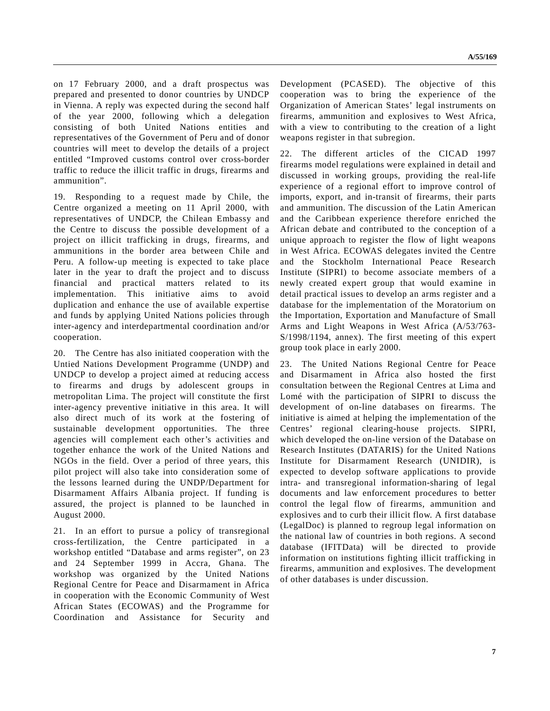on 17 February 2000, and a draft prospectus was prepared and presented to donor countries by UNDCP in Vienna. A reply was expected during the second half of the year 2000, following which a delegation consisting of both United Nations entities and representatives of the Government of Peru and of donor countries will meet to develop the details of a project entitled "Improved customs control over cross-border traffic to reduce the illicit traffic in drugs, firearms and ammunition".

19. Responding to a request made by Chile, the Centre organized a meeting on 11 April 2000, with representatives of UNDCP, the Chilean Embassy and the Centre to discuss the possible development of a project on illicit trafficking in drugs, firearms, and ammunitions in the border area between Chile and Peru. A follow-up meeting is expected to take place later in the year to draft the project and to discuss financial and practical matters related to its implementation. This initiative aims to avoid duplication and enhance the use of available expertise and funds by applying United Nations policies through inter-agency and interdepartmental coordination and/or cooperation.

20. The Centre has also initiated cooperation with the Untied Nations Development Programme (UNDP) and UNDCP to develop a project aimed at reducing access to firearms and drugs by adolescent groups in metropolitan Lima. The project will constitute the first inter-agency preventive initiative in this area. It will also direct much of its work at the fostering of sustainable development opportunities. The three agencies will complement each other's activities and together enhance the work of the United Nations and NGOs in the field. Over a period of three years, this pilot project will also take into consideration some of the lessons learned during the UNDP/Department for Disarmament Affairs Albania project. If funding is assured, the project is planned to be launched in August 2000.

21. In an effort to pursue a policy of transregional cross-fertilization, the Centre participated in a workshop entitled "Database and arms register", on 23 and 24 September 1999 in Accra, Ghana. The workshop was organized by the United Nations Regional Centre for Peace and Disarmament in Africa in cooperation with the Economic Community of West African States (ECOWAS) and the Programme for Coordination and Assistance for Security and

Development (PCASED). The objective of this cooperation was to bring the experience of the Organization of American States' legal instruments on firearms, ammunition and explosives to West Africa, with a view to contributing to the creation of a light weapons register in that subregion.

22. The different articles of the CICAD 1997 firearms model regulations were explained in detail and discussed in working groups, providing the real-life experience of a regional effort to improve control of imports, export, and in-transit of firearms, their parts and ammunition. The discussion of the Latin American and the Caribbean experience therefore enriched the African debate and contributed to the conception of a unique approach to register the flow of light weapons in West Africa. ECOWAS delegates invited the Centre and the Stockholm International Peace Research Institute (SIPRI) to become associate members of a newly created expert group that would examine in detail practical issues to develop an arms register and a database for the implementation of the Moratorium on the Importation, Exportation and Manufacture of Small Arms and Light Weapons in West Africa (A/53/763- S/1998/1194, annex). The first meeting of this expert group took place in early 2000.

23. The United Nations Regional Centre for Peace and Disarmament in Africa also hosted the first consultation between the Regional Centres at Lima and Lomé with the participation of SIPRI to discuss the development of on-line databases on firearms. The initiative is aimed at helping the implementation of the Centres' regional clearing-house projects. SIPRI, which developed the on-line version of the Database on Research Institutes (DATARIS) for the United Nations Institute for Disarmament Research (UNIDIR), is expected to develop software applications to provide intra- and transregional information-sharing of legal documents and law enforcement procedures to better control the legal flow of firearms, ammunition and explosives and to curb their illicit flow. A first database (LegalDoc) is planned to regroup legal information on the national law of countries in both regions. A second database (IFITData) will be directed to provide information on institutions fighting illicit trafficking in firearms, ammunition and explosives. The development of other databases is under discussion.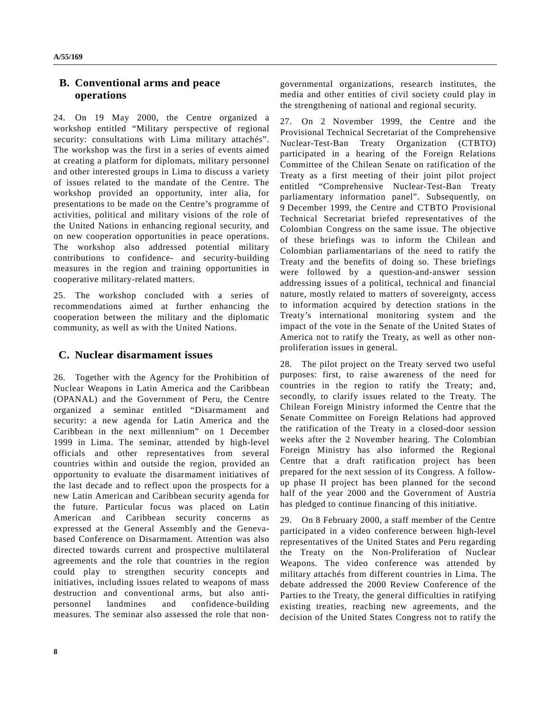### **B. Conventional arms and peace operations**

24. On 19 May 2000, the Centre organized a workshop entitled "Military perspective of regional security: consultations with Lima military attachés". The workshop was the first in a series of events aimed at creating a platform for diplomats, military personnel and other interested groups in Lima to discuss a variety of issues related to the mandate of the Centre. The workshop provided an opportunity, inter alia, for presentations to be made on the Centre's programme of activities, political and military visions of the role of the United Nations in enhancing regional security, and on new cooperation opportunities in peace operations. The workshop also addressed potential military contributions to confidence- and security-building measures in the region and training opportunities in cooperative military-related matters.

25. The workshop concluded with a series of recommendations aimed at further enhancing the cooperation between the military and the diplomatic community, as well as with the United Nations.

### **C. Nuclear disarmament issues**

26. Together with the Agency for the Prohibition of Nuclear Weapons in Latin America and the Caribbean (OPANAL) and the Government of Peru, the Centre organized a seminar entitled "Disarmament and security: a new agenda for Latin America and the Caribbean in the next millennium" on 1 December 1999 in Lima. The seminar, attended by high-level officials and other representatives from several countries within and outside the region, provided an opportunity to evaluate the disarmament initiatives of the last decade and to reflect upon the prospects for a new Latin American and Caribbean security agenda for the future. Particular focus was placed on Latin American and Caribbean security concerns as expressed at the General Assembly and the Genevabased Conference on Disarmament. Attention was also directed towards current and prospective multilateral agreements and the role that countries in the region could play to strengthen security concepts and initiatives, including issues related to weapons of mass destruction and conventional arms, but also antipersonnel landmines and confidence-building measures. The seminar also assessed the role that nongovernmental organizations, research institutes, the media and other entities of civil society could play in the strengthening of national and regional security.

27. On 2 November 1999, the Centre and the Provisional Technical Secretariat of the Comprehensive Nuclear-Test-Ban Treaty Organization (CTBTO) participated in a hearing of the Foreign Relations Committee of the Chilean Senate on ratification of the Treaty as a first meeting of their joint pilot project entitled "Comprehensive Nuclear-Test-Ban Treaty parliamentary information panel". Subsequently, on 9 December 1999, the Centre and CTBTO Provisional Technical Secretariat briefed representatives of the Colombian Congress on the same issue. The objective of these briefings was to inform the Chilean and Colombian parliamentarians of the need to ratify the Treaty and the benefits of doing so. These briefings were followed by a question-and-answer session addressing issues of a political, technical and financial nature, mostly related to matters of sovereignty, access to information acquired by detection stations in the Treaty's international monitoring system and the impact of the vote in the Senate of the United States of America not to ratify the Treaty, as well as other nonproliferation issues in general.

28. The pilot project on the Treaty served two useful purposes: first, to raise awareness of the need for countries in the region to ratify the Treaty; and, secondly, to clarify issues related to the Treaty. The Chilean Foreign Ministry informed the Centre that the Senate Committee on Foreign Relations had approved the ratification of the Treaty in a closed-door session weeks after the 2 November hearing. The Colombian Foreign Ministry has also informed the Regional Centre that a draft ratification project has been prepared for the next session of its Congress. A followup phase II project has been planned for the second half of the year 2000 and the Government of Austria has pledged to continue financing of this initiative.

29. On 8 February 2000, a staff member of the Centre participated in a video conference between high-level representatives of the United States and Peru regarding the Treaty on the Non-Proliferation of Nuclear Weapons. The video conference was attended by military attachés from different countries in Lima. The debate addressed the 2000 Review Conference of the Parties to the Treaty, the general difficulties in ratifying existing treaties, reaching new agreements, and the decision of the United States Congress not to ratify the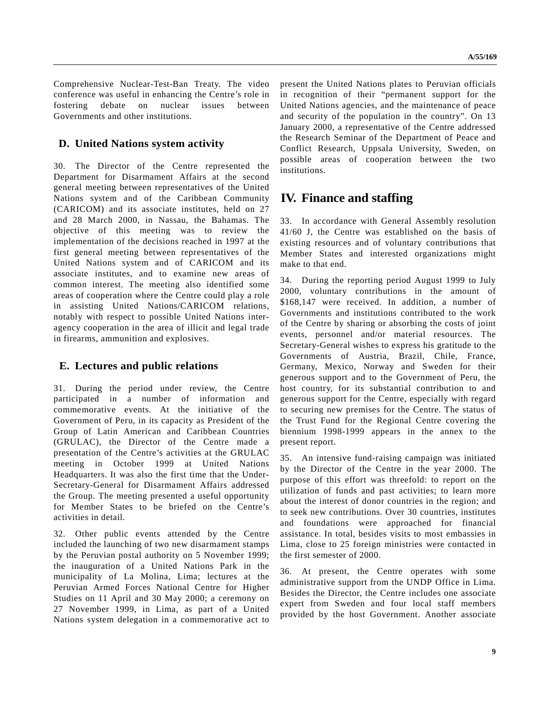Comprehensive Nuclear-Test-Ban Treaty. The video conference was useful in enhancing the Centre's role in fostering debate on nuclear issues between Governments and other institutions.

### **D. United Nations system activity**

30. The Director of the Centre represented the Department for Disarmament Affairs at the second general meeting between representatives of the United Nations system and of the Caribbean Community (CARICOM) and its associate institutes, held on 27 and 28 March 2000, in Nassau, the Bahamas. The objective of this meeting was to review the implementation of the decisions reached in 1997 at the first general meeting between representatives of the United Nations system and of CARICOM and its associate institutes, and to examine new areas of common interest. The meeting also identified some areas of cooperation where the Centre could play a role in assisting United Nations/CARICOM relations, notably with respect to possible United Nations interagency cooperation in the area of illicit and legal trade in firearms, ammunition and explosives.

### **E. Lectures and public relations**

31. During the period under review, the Centre participated in a number of information and commemorative events. At the initiative of the Government of Peru, in its capacity as President of the Group of Latin American and Caribbean Countries (GRULAC), the Director of the Centre made a presentation of the Centre's activities at the GRULAC meeting in October 1999 at United Nations Headquarters. It was also the first time that the Under-Secretary-General for Disarmament Affairs addressed the Group. The meeting presented a useful opportunity for Member States to be briefed on the Centre's activities in detail.

32. Other public events attended by the Centre included the launching of two new disarmament stamps by the Peruvian postal authority on 5 November 1999; the inauguration of a United Nations Park in the municipality of La Molina, Lima; lectures at the Peruvian Armed Forces National Centre for Higher Studies on 11 April and 30 May 2000; a ceremony on 27 November 1999, in Lima, as part of a United Nations system delegation in a commemorative act to present the United Nations plates to Peruvian officials in recognition of their "permanent support for the United Nations agencies, and the maintenance of peace and security of the population in the country". On 13 January 2000, a representative of the Centre addressed the Research Seminar of the Department of Peace and Conflict Research, Uppsala University, Sweden, on possible areas of cooperation between the two institutions.

# **IV. Finance and staffing**

33. In accordance with General Assembly resolution 41/60 J, the Centre was established on the basis of existing resources and of voluntary contributions that Member States and interested organizations might make to that end.

34. During the reporting period August 1999 to July 2000, voluntary contributions in the amount of \$168,147 were received. In addition, a number of Governments and institutions contributed to the work of the Centre by sharing or absorbing the costs of joint events, personnel and/or material resources. The Secretary-General wishes to express his gratitude to the Governments of Austria, Brazil, Chile, France, Germany, Mexico, Norway and Sweden for their generous support and to the Government of Peru, the host country, for its substantial contribution to and generous support for the Centre, especially with regard to securing new premises for the Centre. The status of the Trust Fund for the Regional Centre covering the biennium 1998-1999 appears in the annex to the present report.

35. An intensive fund-raising campaign was initiated by the Director of the Centre in the year 2000. The purpose of this effort was threefold: to report on the utilization of funds and past activities; to learn more about the interest of donor countries in the region; and to seek new contributions. Over 30 countries, institutes and foundations were approached for financial assistance. In total, besides visits to most embassies in Lima, close to 25 foreign ministries were contacted in the first semester of 2000.

36. At present, the Centre operates with some administrative support from the UNDP Office in Lima. Besides the Director, the Centre includes one associate expert from Sweden and four local staff members provided by the host Government. Another associate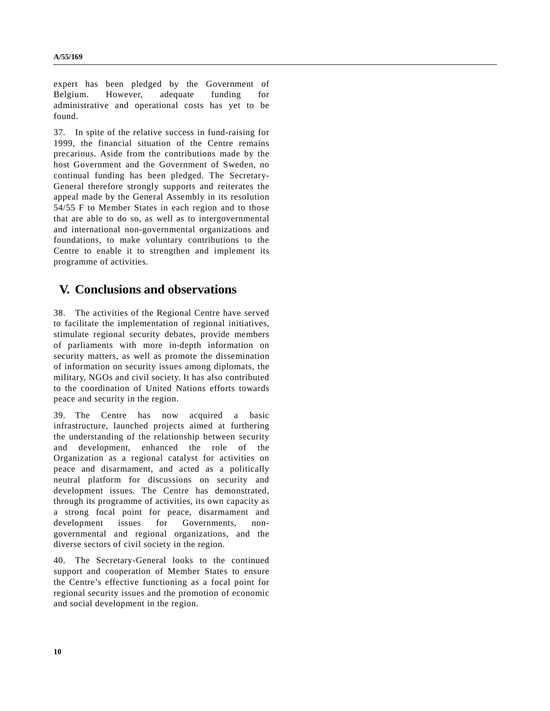expert has been pledged by the Government of Belgium. However, adequate funding for administrative and operational costs has yet to be found.

37. In spite of the relative success in fund-raising for 1999, the financial situation of the Centre remains precarious. Aside from the contributions made by the host Government and the Government of Sweden, no continual funding has been pledged. The Secretary-General therefore strongly supports and reiterates the appeal made by the General Assembly in its resolution 54/55 F to Member States in each region and to those that are able to do so, as well as to intergovernmental and international non-governmental organizations and foundations, to make voluntary contributions to the Centre to enable it to strengthen and implement its programme of activities.

## **V. Conclusions and observations**

38. The activities of the Regional Centre have served to facilitate the implementation of regional initiatives, stimulate regional security debates, provide members of parliaments with more in-depth information on security matters, as well as promote the dissemination of information on security issues among diplomats, the military, NGOs and civil society. It has also contributed to the coordination of United Nations efforts towards peace and security in the region.

39. The Centre has now acquired a basic infrastructure, launched projects aimed at furthering the understanding of the relationship between security and development, enhanced the role of the Organization as a regional catalyst for activities on peace and disarmament, and acted as a politically neutral platform for discussions on security and development issues. The Centre has demonstrated, through its programme of activities, its own capacity as a strong focal point for peace, disarmament and development issues for Governments, nongovernmental and regional organizations, and the diverse sectors of civil society in the region.

40. The Secretary-General looks to the continued support and cooperation of Member States to ensure the Centre's effective functioning as a focal point for regional security issues and the promotion of economic and social development in the region.